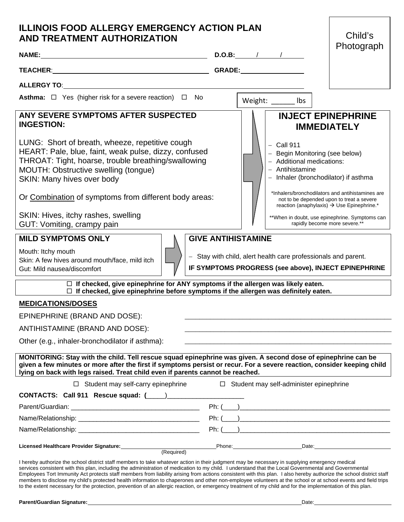| <b>ILLINOIS FOOD ALLERGY EMERGENCY ACTION PLAN</b><br><b>AND TREATMENT AUTHORIZATION</b>                                                                                                                                                                                                                                                                                                                                                                                                                                             |                                                                                                                                                                                                                                                                                                                                                                                                                                                                                                                             | Child's    |  |
|--------------------------------------------------------------------------------------------------------------------------------------------------------------------------------------------------------------------------------------------------------------------------------------------------------------------------------------------------------------------------------------------------------------------------------------------------------------------------------------------------------------------------------------|-----------------------------------------------------------------------------------------------------------------------------------------------------------------------------------------------------------------------------------------------------------------------------------------------------------------------------------------------------------------------------------------------------------------------------------------------------------------------------------------------------------------------------|------------|--|
| NAME: $\qquad \qquad$ D.O.B: $\qquad \qquad$                                                                                                                                                                                                                                                                                                                                                                                                                                                                                         |                                                                                                                                                                                                                                                                                                                                                                                                                                                                                                                             | Photograph |  |
|                                                                                                                                                                                                                                                                                                                                                                                                                                                                                                                                      |                                                                                                                                                                                                                                                                                                                                                                                                                                                                                                                             |            |  |
| ALLERGY TO: ALLERGY TO:                                                                                                                                                                                                                                                                                                                                                                                                                                                                                                              |                                                                                                                                                                                                                                                                                                                                                                                                                                                                                                                             |            |  |
| Asthma: □ Yes (higher risk for a severe reaction) □ No                                                                                                                                                                                                                                                                                                                                                                                                                                                                               | Weight: Ibs                                                                                                                                                                                                                                                                                                                                                                                                                                                                                                                 |            |  |
| ANY SEVERE SYMPTOMS AFTER SUSPECTED<br><b>INGESTION:</b><br>LUNG: Short of breath, wheeze, repetitive cough<br>HEART: Pale, blue, faint, weak pulse, dizzy, confused<br>THROAT: Tight, hoarse, trouble breathing/swallowing<br>MOUTH: Obstructive swelling (tongue)<br>SKIN: Many hives over body<br>Or Combination of symptoms from different body areas:<br>SKIN: Hives, itchy rashes, swelling<br>GUT: Vomiting, crampy pain<br><b>MILD SYMPTOMS ONLY</b><br>Mouth: Itchy mouth<br>Skin: A few hives around mouth/face, mild itch | <b>INJECT EPINEPHRINE</b><br><b>IMMEDIATELY</b><br>$-$ Call 911<br>- Begin Monitoring (see below)<br>- Additional medications:<br>- Antihistamine<br>- Inhaler (bronchodilator) if asthma<br>*Inhalers/bronchodilators and antihistamines are<br>not to be depended upon to treat a severe<br>reaction (anaphylaxis) > Use Epinephrine.*<br>** When in doubt, use epinephrine. Symptoms can<br>rapidly become more severe.**<br><b>GIVE ANTIHISTAMINE</b><br>- Stay with child, alert health care professionals and parent. |            |  |
| Gut: Mild nausea/discomfort                                                                                                                                                                                                                                                                                                                                                                                                                                                                                                          | IF SYMPTOMS PROGRESS (see above), INJECT EPINEPHRINE                                                                                                                                                                                                                                                                                                                                                                                                                                                                        |            |  |
| $\Box$ If checked, give epinephrine for ANY symptoms if the allergen was likely eaten.<br>$\Box$ If checked, give epinephrine before symptoms if the allergen was definitely eaten.                                                                                                                                                                                                                                                                                                                                                  |                                                                                                                                                                                                                                                                                                                                                                                                                                                                                                                             |            |  |
| <b>MEDICATIONS/DOSES</b>                                                                                                                                                                                                                                                                                                                                                                                                                                                                                                             |                                                                                                                                                                                                                                                                                                                                                                                                                                                                                                                             |            |  |
| EPINEPHRINE (BRAND AND DOSE):                                                                                                                                                                                                                                                                                                                                                                                                                                                                                                        |                                                                                                                                                                                                                                                                                                                                                                                                                                                                                                                             |            |  |
| ANTIHISTAMINE (BRAND AND DOSE):                                                                                                                                                                                                                                                                                                                                                                                                                                                                                                      |                                                                                                                                                                                                                                                                                                                                                                                                                                                                                                                             |            |  |
| Other (e.g., inhaler-bronchodilator if asthma):                                                                                                                                                                                                                                                                                                                                                                                                                                                                                      |                                                                                                                                                                                                                                                                                                                                                                                                                                                                                                                             |            |  |
| MONITORING: Stay with the child. Tell rescue squad epinephrine was given. A second dose of epinephrine can be<br>given a few minutes or more after the first if symptoms persist or recur. For a severe reaction, consider keeping child<br>lying on back with legs raised. Treat child even if parents cannot be reached.                                                                                                                                                                                                           |                                                                                                                                                                                                                                                                                                                                                                                                                                                                                                                             |            |  |
| $\Box$ Student may self-carry epinephrine                                                                                                                                                                                                                                                                                                                                                                                                                                                                                            | $\Box$ Student may self-administer epinephrine                                                                                                                                                                                                                                                                                                                                                                                                                                                                              |            |  |
| CONTACTS: Call 911 Rescue squad: (____)__________                                                                                                                                                                                                                                                                                                                                                                                                                                                                                    |                                                                                                                                                                                                                                                                                                                                                                                                                                                                                                                             |            |  |
|                                                                                                                                                                                                                                                                                                                                                                                                                                                                                                                                      |                                                                                                                                                                                                                                                                                                                                                                                                                                                                                                                             |            |  |
|                                                                                                                                                                                                                                                                                                                                                                                                                                                                                                                                      |                                                                                                                                                                                                                                                                                                                                                                                                                                                                                                                             |            |  |
|                                                                                                                                                                                                                                                                                                                                                                                                                                                                                                                                      | $Ph: (\_\_)$                                                                                                                                                                                                                                                                                                                                                                                                                                                                                                                |            |  |
| Licensed Healthcare Provider Signature: _____________<br>(Required)                                                                                                                                                                                                                                                                                                                                                                                                                                                                  |                                                                                                                                                                                                                                                                                                                                                                                                                                                                                                                             |            |  |
| I hereby authorize the school district staff members to take whatever action in their judgment may be necessary in supplying emergency medical<br>services consistent with this plan, including the administration of medication to my child. I understand that the Local Governmental and Governmental<br>Employees Tort Immunity Act protects staff members from liability arising from actions consistent with this plan. I also hereby authorize the school district staff                                                       |                                                                                                                                                                                                                                                                                                                                                                                                                                                                                                                             |            |  |

members to disclose my child's protected health information to chaperones and other non-employee volunteers at the school or at school events and field trips to the extent necessary for the protection, prevention of an allergic reaction, or emergency treatment of my child and for the implementation of this plan.